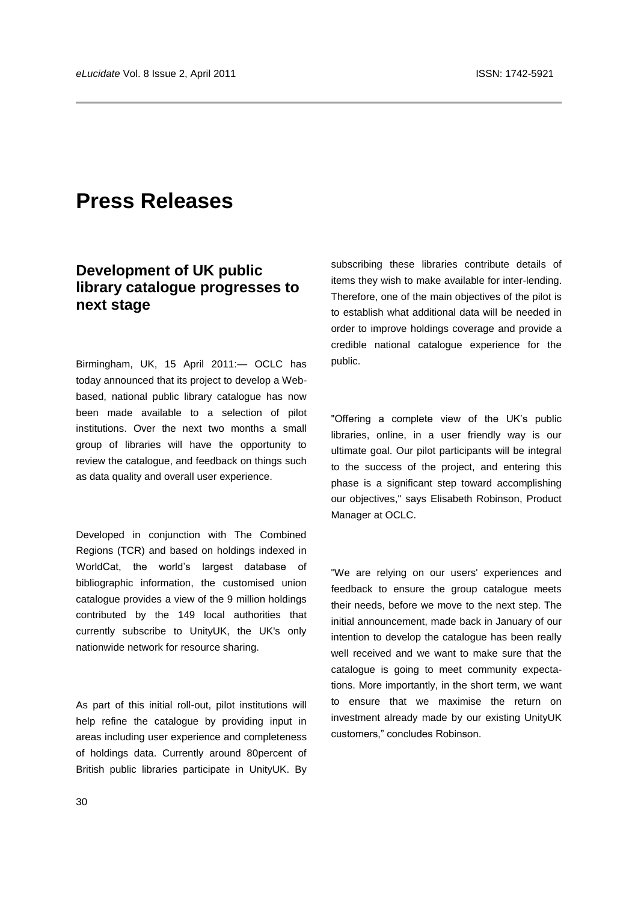# **Press Releases**

## **Development of UK public library catalogue progresses to next stage**

Birmingham, UK, 15 April 2011:— OCLC has today announced that its project to develop a Webbased, national public library catalogue has now been made available to a selection of pilot institutions. Over the next two months a small group of libraries will have the opportunity to review the catalogue, and feedback on things such as data quality and overall user experience.

Developed in conjunction with The Combined Regions (TCR) and based on holdings indexed in WorldCat, the world's largest database of bibliographic information, the customised union catalogue provides a view of the 9 million holdings contributed by the 149 local authorities that currently subscribe to UnityUK, the UK's only nationwide network for resource sharing.

As part of this initial roll-out, pilot institutions will help refine the catalogue by providing input in areas including user experience and completeness of holdings data. Currently around 80percent of British public libraries participate in UnityUK. By

subscribing these libraries contribute details of items they wish to make available for inter-lending. Therefore, one of the main objectives of the pilot is to establish what additional data will be needed in order to improve holdings coverage and provide a credible national catalogue experience for the public.

"Offering a complete view of the UK's public libraries, online, in a user friendly way is our ultimate goal. Our pilot participants will be integral to the success of the project, and entering this phase is a significant step toward accomplishing our objectives," says Elisabeth Robinson, Product Manager at OCLC.

"We are relying on our users' experiences and feedback to ensure the group catalogue meets their needs, before we move to the next step. The initial announcement, made back in January of our intention to develop the catalogue has been really well received and we want to make sure that the catalogue is going to meet community expectations. More importantly, in the short term, we want to ensure that we maximise the return on investment already made by our existing UnityUK customers," concludes Robinson.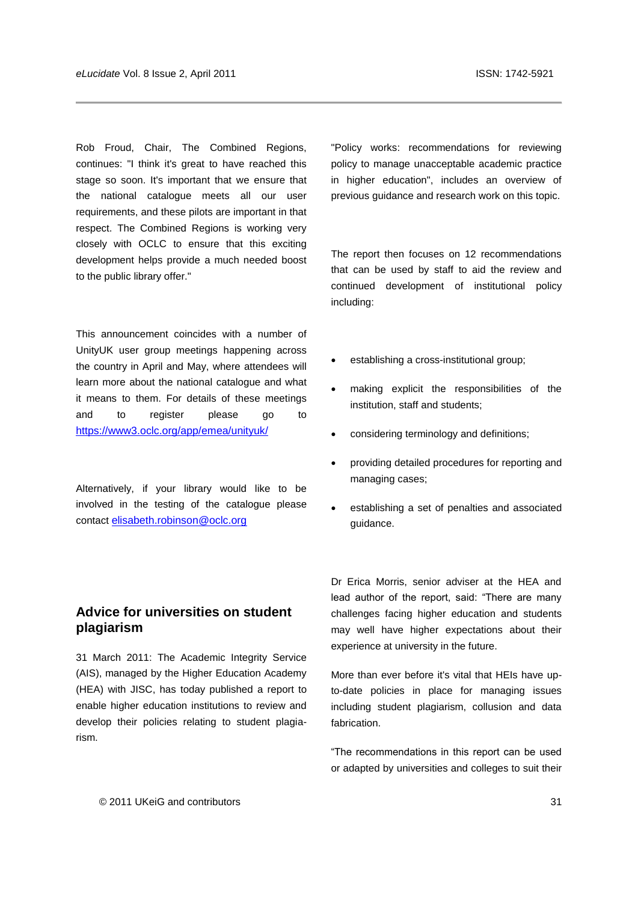Rob Froud, Chair, The Combined Regions, continues: "I think it's great to have reached this stage so soon. It's important that we ensure that the national catalogue meets all our user requirements, and these pilots are important in that respect. The Combined Regions is working very closely with OCLC to ensure that this exciting development helps provide a much needed boost to the public library offer."

This announcement coincides with a number of UnityUK user group meetings happening across the country in April and May, where attendees will learn more about the national catalogue and what it means to them. For details of these meetings and to register please go to <https://www3.oclc.org/app/emea/unityuk/>

Alternatively, if your library would like to be involved in the testing of the catalogue please contact [elisabeth.robinson@oclc.org](mailto:elisabeth.robinson@oclc.org)

## **Advice for universities on student plagiarism**

31 March 2011: The Academic Integrity Service (AIS), managed by the Higher Education Academy (HEA) with JISC, has today published a report to enable higher education institutions to review and develop their policies relating to student plagiarism.

"Policy works: recommendations for reviewing policy to manage unacceptable academic practice in higher education", includes an overview of previous guidance and research work on this topic.

The report then focuses on 12 recommendations that can be used by staff to aid the review and continued development of institutional policy including:

- establishing a cross-institutional group;
- making explicit the responsibilities of the institution, staff and students;
- considering terminology and definitions;
- providing detailed procedures for reporting and managing cases;
- establishing a set of penalties and associated guidance.

Dr Erica Morris, senior adviser at the HEA and lead author of the report, said: "There are many challenges facing higher education and students may well have higher expectations about their experience at university in the future.

More than ever before it's vital that HEIs have upto-date policies in place for managing issues including student plagiarism, collusion and data fabrication.

―The recommendations in this report can be used or adapted by universities and colleges to suit their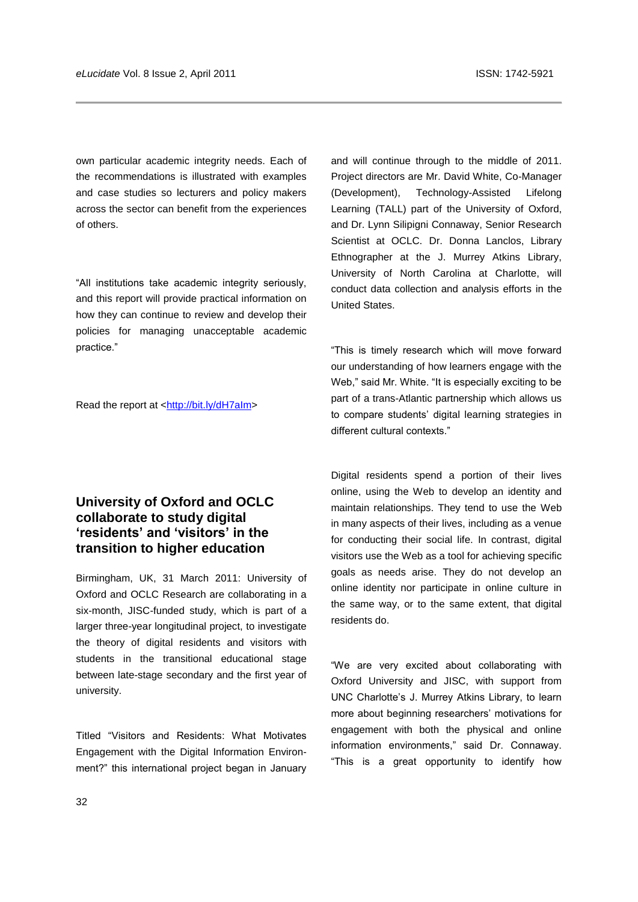own particular academic integrity needs. Each of the recommendations is illustrated with examples and case studies so lecturers and policy makers across the sector can benefit from the experiences of others.

"All institutions take academic integrity seriously, and this report will provide practical information on how they can continue to review and develop their policies for managing unacceptable academic practice."

Read the report at [<http://bit.ly/dH7aIm>](http://bit.ly/dH7aIm)

## **University of Oxford and OCLC collaborate to study digital "residents" and "visitors" in the transition to higher education**

Birmingham, UK, 31 March 2011: University of Oxford and OCLC Research are collaborating in a six-month, JISC-funded study, which is part of a larger three-year longitudinal project, to investigate the theory of digital residents and visitors with students in the transitional educational stage between late-stage secondary and the first year of university.

Titled "Visitors and Residents: What Motivates Engagement with the Digital Information Environment?" this international project began in January and will continue through to the middle of 2011. Project directors are Mr. David White, Co-Manager (Development), Technology-Assisted Lifelong Learning (TALL) part of the University of Oxford, and Dr. Lynn Silipigni Connaway, Senior Research Scientist at OCLC. Dr. Donna Lanclos, Library Ethnographer at the J. Murrey Atkins Library, University of North Carolina at Charlotte, will conduct data collection and analysis efforts in the United States.

―This is timely research which will move forward our understanding of how learners engage with the Web," said Mr. White. "It is especially exciting to be part of a trans-Atlantic partnership which allows us to compare students' digital learning strategies in different cultural contexts."

Digital residents spend a portion of their lives online, using the Web to develop an identity and maintain relationships. They tend to use the Web in many aspects of their lives, including as a venue for conducting their social life. In contrast, digital visitors use the Web as a tool for achieving specific goals as needs arise. They do not develop an online identity nor participate in online culture in the same way, or to the same extent, that digital residents do.

"We are very excited about collaborating with Oxford University and JISC, with support from UNC Charlotte's J. Murrey Atkins Library, to learn more about beginning researchers' motivations for engagement with both the physical and online information environments," said Dr. Connaway. "This is a great opportunity to identify how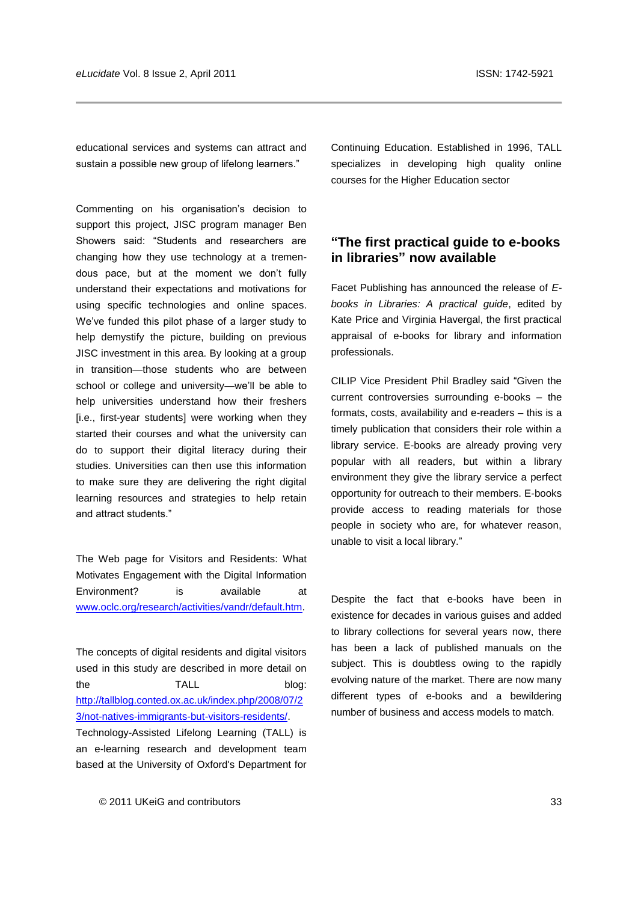educational services and systems can attract and sustain a possible new group of lifelong learners."

Commenting on his organisation's decision to support this project, JISC program manager Ben Showers said: "Students and researchers are changing how they use technology at a tremendous pace, but at the moment we don't fully understand their expectations and motivations for using specific technologies and online spaces. We've funded this pilot phase of a larger study to help demystify the picture, building on previous JISC investment in this area. By looking at a group in transition—those students who are between school or college and university—we'll be able to help universities understand how their freshers [i.e., first-year students] were working when they started their courses and what the university can do to support their digital literacy during their studies. Universities can then use this information to make sure they are delivering the right digital learning resources and strategies to help retain and attract students."

The Web page for Visitors and Residents: What Motivates Engagement with the Digital Information Environment? is available at [www.oclc.org/research/activities/vandr/default.htm.](http://www.oclc.org/research/activities/vandr/default.htm)

The concepts of digital residents and digital visitors used in this study are described in more detail on the TALL blog: [http://tallblog.conted.ox.ac.uk/index.php/2008/07/2](http://tallblog.conted.ox.ac.uk/index.php/2008/07/23/not-natives-immigrants-but-visitors-residents/) [3/not-natives-immigrants-but-visitors-residents/.](http://tallblog.conted.ox.ac.uk/index.php/2008/07/23/not-natives-immigrants-but-visitors-residents/)

Technology-Assisted Lifelong Learning (TALL) is an e-learning research and development team based at the University of Oxford's Department for Continuing Education. Established in 1996, TALL specializes in developing high quality online courses for the Higher Education sector

#### **"The first practical guide to e-books in libraries" now available**

Facet Publishing has announced the release of *Ebooks in Libraries: A practical guide*, edited by Kate Price and Virginia Havergal, the first practical appraisal of e-books for library and information professionals.

CILIP Vice President Phil Bradley said "Given the current controversies surrounding e-books – the formats, costs, availability and e-readers – this is a timely publication that considers their role within a library service. E-books are already proving very popular with all readers, but within a library environment they give the library service a perfect opportunity for outreach to their members. E-books provide access to reading materials for those people in society who are, for whatever reason, unable to visit a local library."

Despite the fact that e-books have been in existence for decades in various guises and added to library collections for several years now, there has been a lack of published manuals on the subject. This is doubtless owing to the rapidly evolving nature of the market. There are now many different types of e-books and a bewildering number of business and access models to match.

© 2011 UKeiG and contributors 33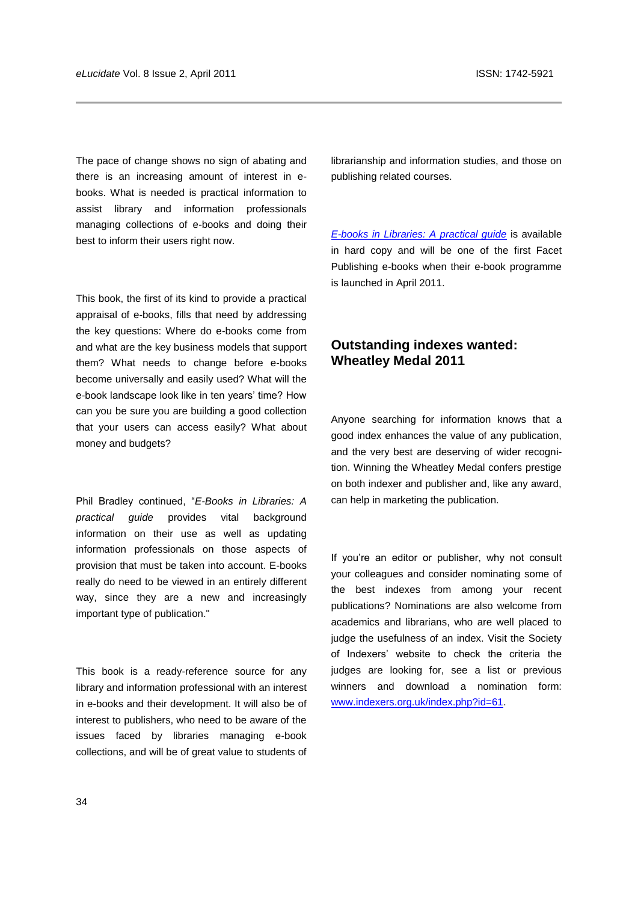The pace of change shows no sign of abating and there is an increasing amount of interest in ebooks. What is needed is practical information to assist library and information professionals managing collections of e-books and doing their best to inform their users right now.

This book, the first of its kind to provide a practical appraisal of e-books, fills that need by addressing the key questions: Where do e-books come from and what are the key business models that support them? What needs to change before e-books become universally and easily used? What will the e-book landscape look like in ten years' time? How can you be sure you are building a good collection that your users can access easily? What about money and budgets?

Phil Bradley continued, "E-Books in Libraries: A *practical guide* provides vital background information on their use as well as updating information professionals on those aspects of provision that must be taken into account. E-books really do need to be viewed in an entirely different way, since they are a new and increasingly important type of publication."

This book is a ready-reference source for any library and information professional with an interest in e-books and their development. It will also be of interest to publishers, who need to be aware of the issues faced by libraries managing e-book collections, and will be of great value to students of

librarianship and information studies, and those on publishing related courses.

*[E-books in Libraries: A practical guide](http://www.facetpublishing.co.uk/title.php?id=572-8)* is available in hard copy and will be one of the first Facet Publishing e-books when their e-book programme is launched in April 2011.

## **Outstanding indexes wanted: Wheatley Medal 2011**

Anyone searching for information knows that a good index enhances the value of any publication, and the very best are deserving of wider recognition. Winning the Wheatley Medal confers prestige on both indexer and publisher and, like any award, can help in marketing the publication.

If you're an editor or publisher, why not consult your colleagues and consider nominating some of the best indexes from among your recent publications? Nominations are also welcome from academics and librarians, who are well placed to judge the usefulness of an index. Visit the Society of Indexers' website to check the criteria the judges are looking for, see a list or previous winners and download a nomination form: [www.indexers.org.uk/index.php?id=61.](http://www.indexers.org.uk/index.php?id=61)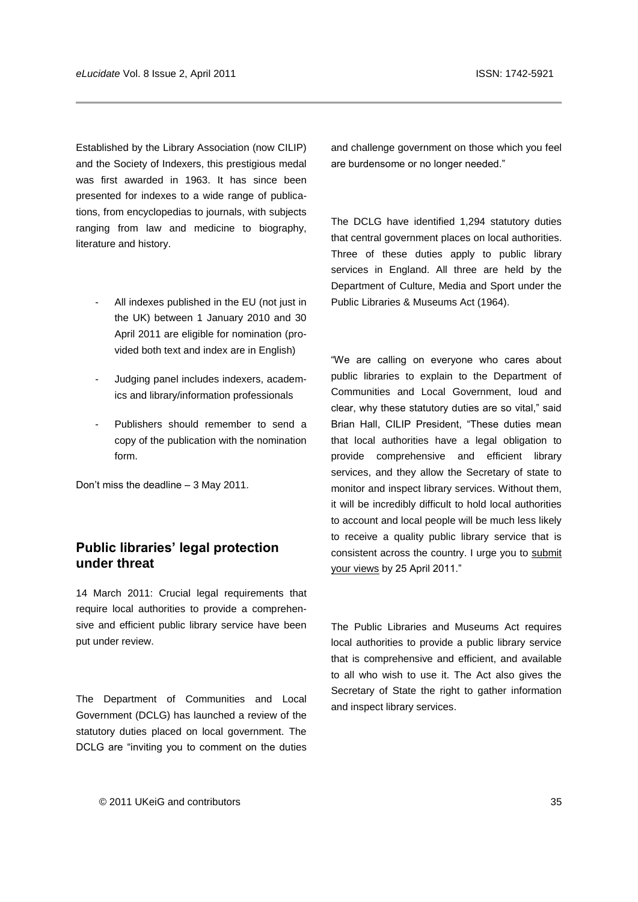Established by the Library Association (now CILIP) and the Society of Indexers, this prestigious medal was first awarded in 1963. It has since been presented for indexes to a wide range of publications, from encyclopedias to journals, with subjects ranging from law and medicine to biography, literature and history.

- All indexes published in the EU (not just in the UK) between 1 January 2010 and 30 April 2011 are eligible for nomination (provided both text and index are in English)
- Judging panel includes indexers, academics and library/information professionals
- Publishers should remember to send a copy of the publication with the nomination form.

Don't miss the deadline – 3 May 2011.

#### **Public libraries" legal protection under threat**

14 March 2011: Crucial legal requirements that require local authorities to provide a comprehensive and efficient public library service have been put under review.

The Department of Communities and Local Government (DCLG) has launched a review of the statutory duties placed on local government. The DCLG are "inviting you to comment on the duties and challenge government on those which you feel are burdensome or no longer needed."

The DCLG have identified 1,294 statutory duties that central government places on local authorities. Three of these duties apply to public library services in England. All three are held by the Department of Culture, Media and Sport under the Public Libraries & Museums Act (1964).

"We are calling on everyone who cares about public libraries to explain to the Department of Communities and Local Government, loud and clear, why these statutory duties are so vital," said Brian Hall, CILIP President, "These duties mean that local authorities have a legal obligation to provide comprehensive and efficient library services, and they allow the Secretary of state to monitor and inspect library services. Without them, it will be incredibly difficult to hold local authorities to account and local people will be much less likely to receive a quality public library service that is consistent across the country. I urge you to [submit](http://www.communities.gov.uk/localgovernment/decentralisation/tacklingburdens/reviewstatutoryduties/)  [your views](http://www.communities.gov.uk/localgovernment/decentralisation/tacklingburdens/reviewstatutoryduties/) by 25 April 2011."

The Public Libraries and Museums Act requires local authorities to provide a public library service that is comprehensive and efficient, and available to all who wish to use it. The Act also gives the Secretary of State the right to gather information and inspect library services.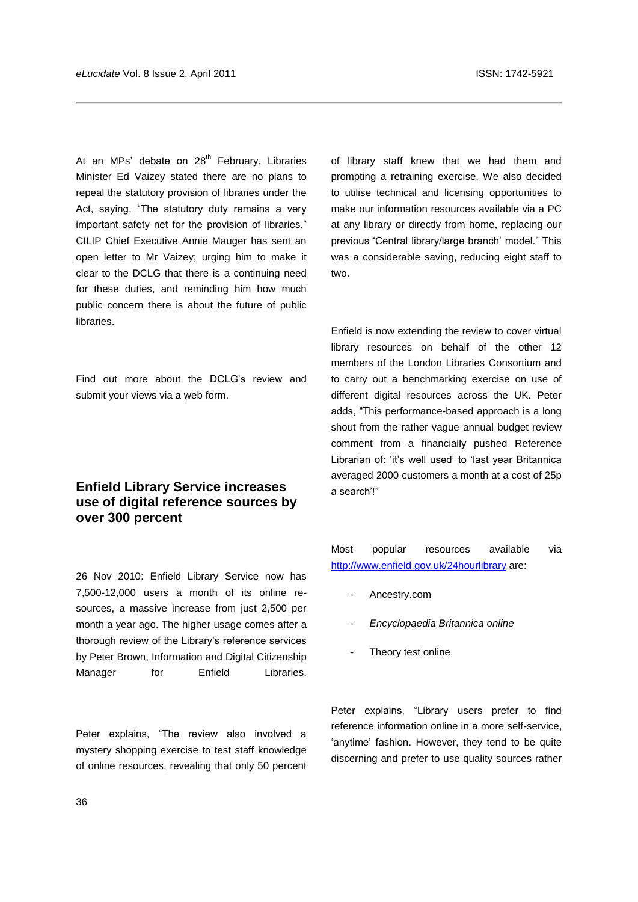At an MPs' debate on  $28<sup>th</sup>$  February, Libraries Minister Ed Vaizey stated there are no plans to repeal the statutory provision of libraries under the Act, saying, "The statutory duty remains a very important safety net for the provision of libraries." CILIP Chief Executive Annie Mauger has sent an [open letter to Mr Vaizey;](http://www.cilip.org.uk/news-media/Documents/Open_letter_Ed_Vaizey_64_Act_140311.pdf) urging him to make it clear to the DCLG that there is a continuing need for these duties, and reminding him how much public concern there is about the future of public libraries.

Find out more about the [DCLG's review](http://www.communities.gov.uk/localgovernment/decentralisation/tacklingburdens/reviewstatutoryduties/) and submit your views via [a web form.](https://www.surveymonkey.com/s/GP7BKKT)

### **Enfield Library Service increases use of digital reference sources by over 300 percent**

26 Nov 2010: Enfield Library Service now has 7,500-12,000 users a month of its online resources, a massive increase from just 2,500 per month a year ago. The higher usage comes after a thorough review of the Library's reference services by Peter Brown, Information and Digital Citizenship Manager for Enfield Libraries.

Peter explains, "The review also involved a mystery shopping exercise to test staff knowledge of online resources, revealing that only 50 percent of library staff knew that we had them and prompting a retraining exercise. We also decided to utilise technical and licensing opportunities to make our information resources available via a PC at any library or directly from home, replacing our previous 'Central library/large branch' model." This was a considerable saving, reducing eight staff to two.

Enfield is now extending the review to cover virtual library resources on behalf of the other 12 members of the London Libraries Consortium and to carry out a benchmarking exercise on use of different digital resources across the UK. Peter adds, "This performance-based approach is a long shout from the rather vague annual budget review comment from a financially pushed Reference Librarian of: 'it's well used' to 'last year Britannica averaged 2000 customers a month at a cost of 25p a search'!‖

Most popular resources available via <http://www.enfield.gov.uk/24hourlibrary> are:

- Ancestry.com
- *Encyclopaedia Britannica online*
- Theory test online

Peter explains, "Library users prefer to find reference information online in a more self-service, 'anytime' fashion. However, they tend to be quite discerning and prefer to use quality sources rather